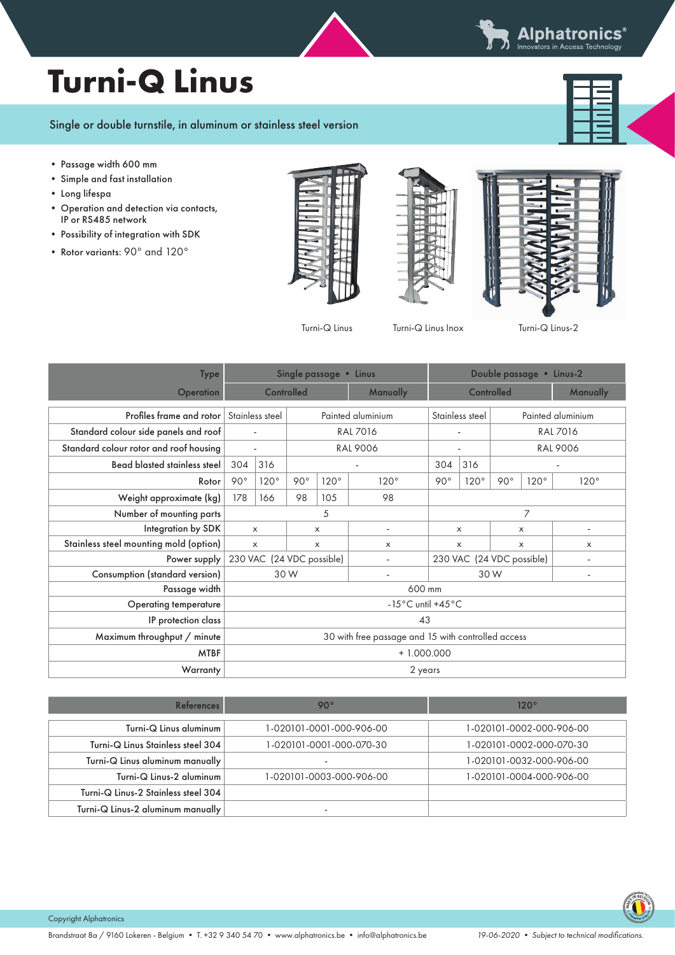${\sf Alphatronics}^*$ Innovators in Access Technology

## **Turni-Q Linus**



## Single or double turnstile, in aluminum or stainless steel version

- Passage width 600 mm
- Simple and fast installation
- Long lifespa
- Operation and detection via contacts, IP or RS485 network
- Possibility of integration with SDK
- Rotor variants: 90° and 120°







Turni-Q Linus Turni-Q Linus Inox Turni-Q Linus-2

| Type                                   | Single passage • Linus                             |      |                 |                 |                   | Double passage • Linus-2  |                           |                   |             |             |
|----------------------------------------|----------------------------------------------------|------|-----------------|-----------------|-------------------|---------------------------|---------------------------|-------------------|-------------|-------------|
| Operation                              | Controlled                                         |      |                 | Manually        | Controlled        |                           |                           | <b>Manually</b>   |             |             |
| Profiles frame and rotor               | Stainless steel                                    |      |                 |                 | Painted aluminium | Stainless steel           |                           | Painted aluminium |             |             |
| Standard colour side panels and roof   |                                                    |      | <b>RAL 7016</b> |                 |                   |                           |                           | <b>RAL 7016</b>   |             |             |
| Standard colour rotor and roof housing | $\blacksquare$                                     |      |                 | <b>RAL 9006</b> | ä,                |                           | <b>RAL 9006</b>           |                   |             |             |
| <b>Bead blasted stainless steel</b>    | 304                                                | 316  |                 |                 |                   | 304                       | 316                       |                   |             |             |
| Rotor                                  | $90^{\circ}$                                       | 120° | $90^{\circ}$    | $120^\circ$     | $120^\circ$       | $90^{\circ}$              | $120^\circ$               | $90^{\circ}$      | $120^\circ$ | $120^\circ$ |
| Weight approximate (kg)                | 178                                                | 166  | 98              | 105             | 98                |                           |                           |                   |             |             |
| Number of mounting parts               | 5                                                  |      |                 |                 |                   | 7                         |                           |                   |             |             |
| Integration by SDK                     | $\times$<br>x                                      |      |                 |                 | X                 |                           | $\boldsymbol{\mathsf{x}}$ |                   |             |             |
| Stainless steel mounting mold (option) | $\times$<br>$\times$                               |      | $\times$        | $\times$        |                   | $\times$                  |                           | X                 |             |             |
| Power supply                           | 230 VAC (24 VDC possible)                          |      |                 |                 |                   | 230 VAC (24 VDC possible) |                           |                   |             |             |
| Consumption (standard version)         | 30 W                                               |      |                 |                 | 30 W              |                           |                           |                   |             |             |
| Passage width                          | 600 mm                                             |      |                 |                 |                   |                           |                           |                   |             |             |
| Operating temperature                  | $-15^{\circ}$ C until $+45^{\circ}$ C              |      |                 |                 |                   |                           |                           |                   |             |             |
| IP protection class                    | 43                                                 |      |                 |                 |                   |                           |                           |                   |             |             |
| Maximum throughput / minute            | 30 with free passage and 15 with controlled access |      |                 |                 |                   |                           |                           |                   |             |             |
| <b>MTBF</b>                            | $+1.000.000$                                       |      |                 |                 |                   |                           |                           |                   |             |             |
| Warranty                               | 2 years                                            |      |                 |                 |                   |                           |                           |                   |             |             |

| References                          | $90^{\circ}$             | 120°                     |
|-------------------------------------|--------------------------|--------------------------|
| Turni-Q Linus aluminum              | 1-020101-0001-000-906-00 | 1-020101-0002-000-906-00 |
| Turni-Q Linus Stainless steel 304   | 1-020101-0001-000-070-30 | 1-020101-0002-000-070-30 |
| Turni-Q Linus aluminum manually     |                          | 1-020101-0032-000-906-00 |
| Turni-Q Linus-2 aluminum            | 1-020101-0003-000-906-00 | 1-020101-0004-000-906-00 |
| Turni-Q Linus-2 Stainless steel 304 |                          |                          |
| Turni-Q Linus-2 aluminum manually   |                          |                          |